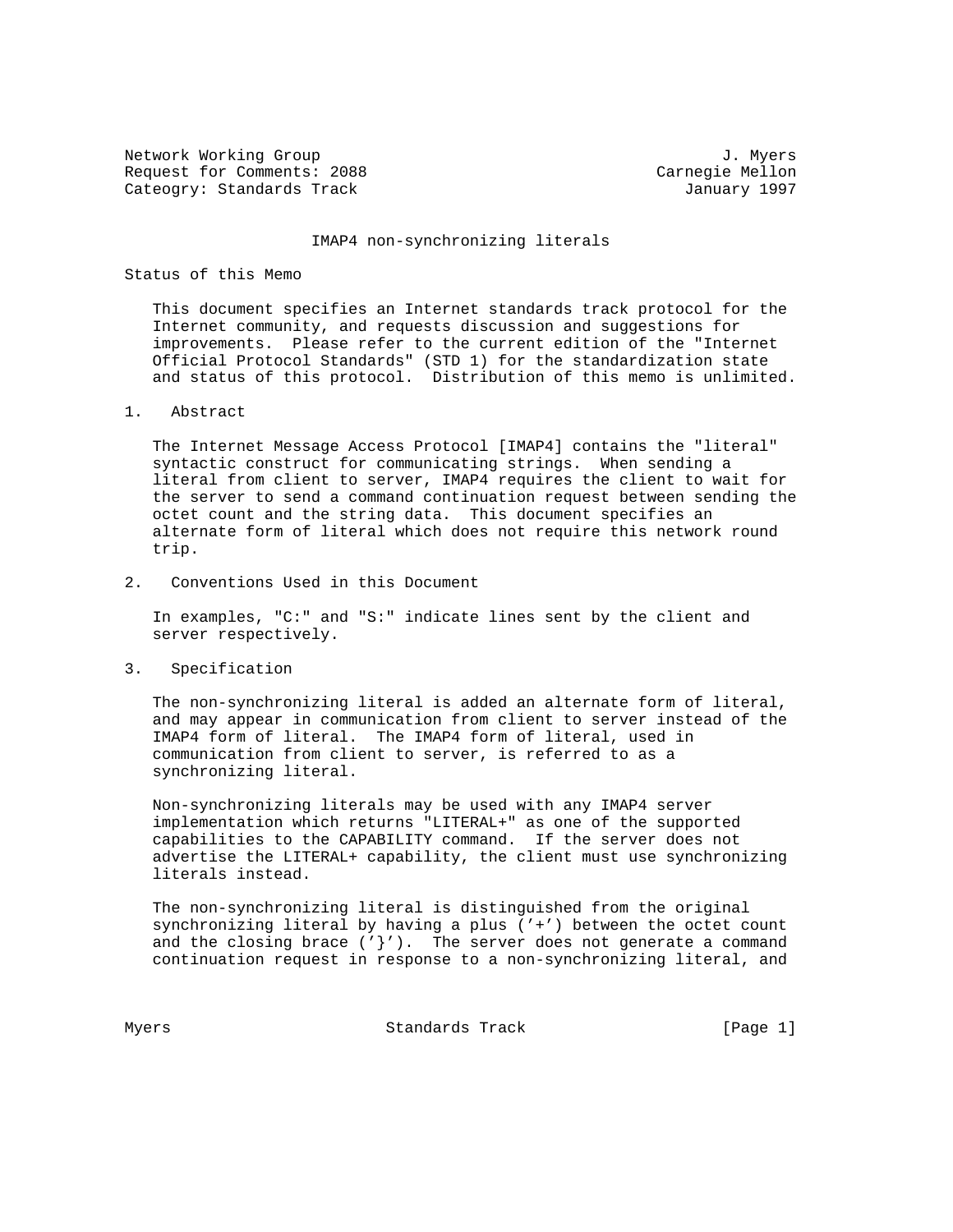Network Working Group 3. 2008 3. Myers 3. Myers 3. Myers 3. Myers 3. Myers 3. Myers 3. Myers 3. Myers 3. Myers Request for Comments: 2088 Carnegie Mellon Cateogry: Standards Track January 1997

## IMAP4 non-synchronizing literals

## Status of this Memo

 This document specifies an Internet standards track protocol for the Internet community, and requests discussion and suggestions for improvements. Please refer to the current edition of the "Internet Official Protocol Standards" (STD 1) for the standardization state and status of this protocol. Distribution of this memo is unlimited.

## 1. Abstract

 The Internet Message Access Protocol [IMAP4] contains the "literal" syntactic construct for communicating strings. When sending a literal from client to server, IMAP4 requires the client to wait for the server to send a command continuation request between sending the octet count and the string data. This document specifies an alternate form of literal which does not require this network round trip.

2. Conventions Used in this Document

 In examples, "C:" and "S:" indicate lines sent by the client and server respectively.

3. Specification

 The non-synchronizing literal is added an alternate form of literal, and may appear in communication from client to server instead of the IMAP4 form of literal. The IMAP4 form of literal, used in communication from client to server, is referred to as a synchronizing literal.

 Non-synchronizing literals may be used with any IMAP4 server implementation which returns "LITERAL+" as one of the supported capabilities to the CAPABILITY command. If the server does not advertise the LITERAL+ capability, the client must use synchronizing literals instead.

 The non-synchronizing literal is distinguished from the original synchronizing literal by having a plus ('+') between the octet count and the closing brace  $(\cdot \}'')$ . The server does not generate a command continuation request in response to a non-synchronizing literal, and

Myers **Standards Track** [Page 1]